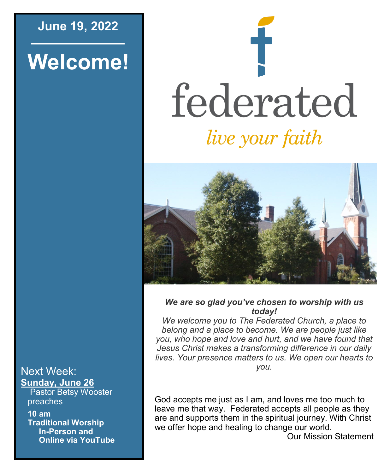## **June 19, 2022**

# **Welcome!**

# federated live your faith



*We are so glad you've chosen to worship with us today!*

*We welcome you to The Federated Church, a place to belong and a place to become. We are people just like you, who hope and love and hurt, and we have found that Jesus Christ makes a transforming difference in our daily lives. Your presence matters to us. We open our hearts to you.*

God accepts me just as I am, and loves me too much to leave me that way. Federated accepts all people as they are and supports them in the spiritual journey. With Christ we offer hope and healing to change our world.

Our Mission Statement

#### Next Week: **Sunday, June 26**

Pastor Betsy Wooster preaches

**10 am Traditional Worship In-Person and Online via YouTube**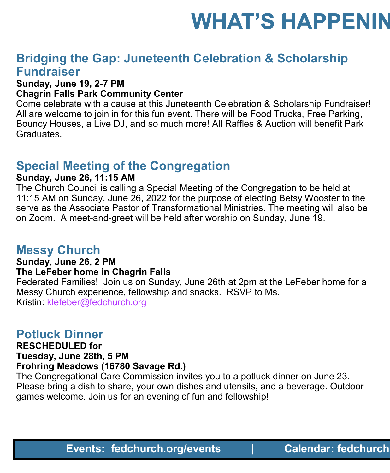# **WHAT'S HAPPENIN**

# **Bridging the Gap: Juneteenth Celebration & Scholarship Fundraiser**

#### **Sunday, June 19, 2-7 PM**

#### **Chagrin Falls Park Community Center**

Come celebrate with a cause at this Juneteenth Celebration & Scholarship Fundraiser! All are welcome to join in for this fun event. There will be Food Trucks, Free Parking, Bouncy Houses, a Live DJ, and so much more! All Raffles & Auction will benefit Park Graduates.

# **Special Meeting of the Congregation**

#### **Sunday, June 26, 11:15 AM**

The Church Council is calling a Special Meeting of the Congregation to be held at 11:15 AM on Sunday, June 26, 2022 for the purpose of electing Betsy Wooster to the serve as the Associate Pastor of Transformational Ministries. The meeting will also be on Zoom. A meet-and-greet will be held after worship on Sunday, June 19. **Events: Federation Constrained Properties Constrained By Practice Scholarship Pundraiser (as each Community Center<br>The 19, 2-7 PM and so small sume tend in Celebration & Scholarship Fundraiser!<br>The metal of this function** 

## **Messy Church**

#### **Sunday, June 26, 2 PM**

#### **The LeFeber home in Chagrin Falls**

Federated Families! Join us on Sunday, June 26th at 2pm at the LeFeber home for a Messy Church experience, fellowship and snacks. RSVP to Ms. Kristin: [klefeber@fedchurch.org](mailto:klefeber@fedchurch.org)

## **Potluck Dinner**

#### **RESCHEDULED for**

#### **Tuesday, June 28th, 5 PM**

#### **Frohring Meadows (16780 Savage Rd.)**

The Congregational Care Commission invites you to a potluck dinner on June 23. Please bring a dish to share, your own dishes and utensils, and a beverage. Outdoor games welcome. Join us for an evening of fun and fellowship!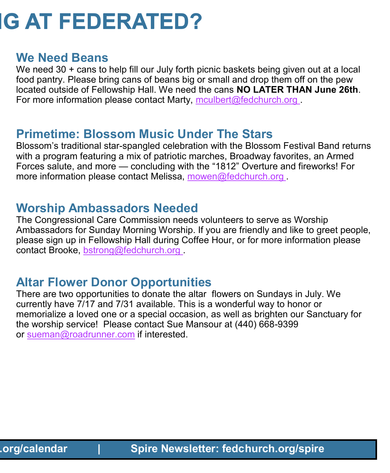# **IG AT FEDERATED?**

## **We Need Beans**

We need 30 + cans to help fill our July forth picnic baskets being given out at a local food pantry. Please bring cans of beans big or small and drop them off on the pew located outside of Fellowship Hall. We need the cans **NO LATER THAN June 26th**. For more information please contact Marty, [mculbert@fedchurch.org](mailto:mculbert@fedchurch.org?subject=Baked%20Beans%20Donation)

# **Primetime: Blossom Music Under The Stars**

Blossom's traditional star-spangled celebration with the Blossom Festival Band returns with a program featuring a mix of patriotic marches, Broadway favorites, an Armed Forces salute, and more — concluding with the "1812" Overture and fireworks! For more information please contact Melissa, [mowen@fedchurch.org](mailto:mowen@fedchurch.org?subject=Baked%20Beans%20Donation)

# **Worship Ambassadors Needed**

The Congressional Care Commission needs volunteers to serve as Worship Ambassadors for Sunday Morning Worship. If you are friendly and like to greet people, please sign up in Fellowship Hall during Coffee Hour, or for more information please contact Brooke, [bstrong@](mailto:bstrong@fedchurch.org?subject=Worship%20Ambassador%20Volunteer%20)[fedchurch.org](mailto:mowen@fedchurch.org?subject=Baked%20Beans%20Donation) .

# **Altar Flower Donor Opportunities**

There are two opportunities to donate the altar flowers on Sundays in July. We currently have 7/17 and 7/31 available. This is a wonderful way to honor or memorialize a loved one or a special occasion, as well as brighten our Sanctuary for the worship service! Please contact Sue Mansour at (440) 668-9399 or [sueman@roadrunner.com](mailto:sueman@roadrunner.com) if interested.